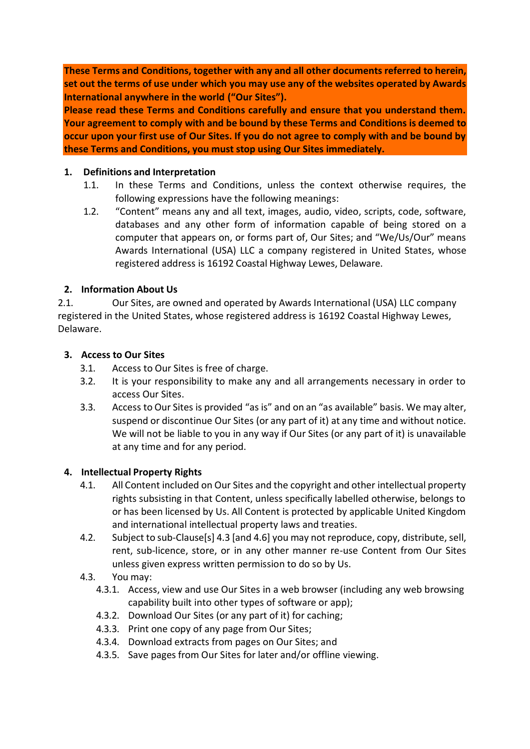**These Terms and Conditions, together with any and all other documents referred to herein, set out the terms of use under which you may use any of the websites operated by Awards International anywhere in the world ("Our Sites").**

**Please read these Terms and Conditions carefully and ensure that you understand them. Your agreement to comply with and be bound by these Terms and Conditions is deemed to occur upon your first use of Our Sites. If you do not agree to comply with and be bound by these Terms and Conditions, you must stop using Our Sites immediately.**

### **1. Definitions and Interpretation**

- 1.1. In these Terms and Conditions, unless the context otherwise requires, the following expressions have the following meanings:
- 1.2. "Content" means any and all text, images, audio, video, scripts, code, software, databases and any other form of information capable of being stored on a computer that appears on, or forms part of, Our Sites; and "We/Us/Our" means Awards International (USA) LLC a company registered in United States, whose registered address is 16192 Coastal Highway Lewes, Delaware.

## **2. Information About Us**

2.1. Our Sites, are owned and operated by Awards International (USA) LLC company registered in the United States, whose registered address is 16192 Coastal Highway Lewes, Delaware.

### **3. Access to Our Sites**

- 3.1. Access to Our Sites is free of charge.
- 3.2. It is your responsibility to make any and all arrangements necessary in order to access Our Sites.
- 3.3. Access to Our Sites is provided "as is" and on an "as available" basis. We may alter, suspend or discontinue Our Sites (or any part of it) at any time and without notice. We will not be liable to you in any way if Our Sites (or any part of it) is unavailable at any time and for any period.

### **4. Intellectual Property Rights**

- 4.1. All Content included on Our Sites and the copyright and other intellectual property rights subsisting in that Content, unless specifically labelled otherwise, belongs to or has been licensed by Us. All Content is protected by applicable United Kingdom and international intellectual property laws and treaties.
- 4.2. Subject to sub-Clause[s] 4.3 [and 4.6] you may not reproduce, copy, distribute, sell, rent, sub-licence, store, or in any other manner re-use Content from Our Sites unless given express written permission to do so by Us.

# 4.3. You may:

- 4.3.1. Access, view and use Our Sites in a web browser (including any web browsing capability built into other types of software or app);
- 4.3.2. Download Our Sites (or any part of it) for caching;
- 4.3.3. Print one copy of any page from Our Sites;
- 4.3.4. Download extracts from pages on Our Sites; and
- 4.3.5. Save pages from Our Sites for later and/or offline viewing.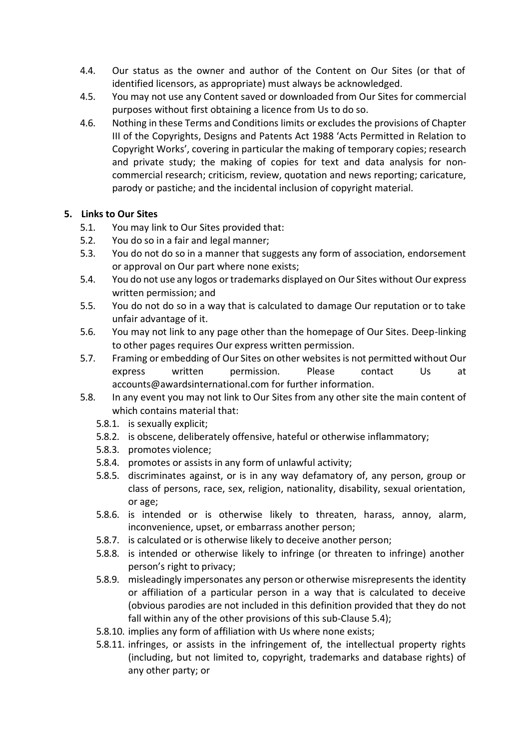- 4.4. Our status as the owner and author of the Content on Our Sites (or that of identified licensors, as appropriate) must always be acknowledged.
- 4.5. You may not use any Content saved or downloaded from Our Sites for commercial purposes without first obtaining a licence from Us to do so.
- 4.6. Nothing in these Terms and Conditions limits or excludes the provisions of Chapter III of the Copyrights, Designs and Patents Act 1988 'Acts Permitted in Relation to Copyright Works', covering in particular the making of temporary copies; research and private study; the making of copies for text and data analysis for noncommercial research; criticism, review, quotation and news reporting; caricature, parody or pastiche; and the incidental inclusion of copyright material.

## **5. Links to Our Sites**

- 5.1. You may link to Our Sites provided that:
- 5.2. You do so in a fair and legal manner;
- 5.3. You do not do so in a manner that suggests any form of association, endorsement or approval on Our part where none exists;
- 5.4. You do not use any logos ortrademarks displayed on Our Sites without Our express written permission; and
- 5.5. You do not do so in a way that is calculated to damage Our reputation or to take unfair advantage of it.
- 5.6. You may not link to any page other than the homepage of Our Sites. Deep-linking to other pages requires Our express written permission.
- 5.7. Framing or embedding of Our Sites on other websites is not permitted without Our express written permission. Please contact Us at [accounts@awardsinternational.com](mailto:accounts@awardsinternational.com) for further information.
- 5.8. In any event you may not link to Our Sites from any other site the main content of which contains material that:
	- 5.8.1. is sexually explicit;
	- 5.8.2. is obscene, deliberately offensive, hateful or otherwise inflammatory;
	- 5.8.3. promotes violence;
	- 5.8.4. promotes or assists in any form of unlawful activity;
	- 5.8.5. discriminates against, or is in any way defamatory of, any person, group or class of persons, race, sex, religion, nationality, disability, sexual orientation, or age;
	- 5.8.6. is intended or is otherwise likely to threaten, harass, annoy, alarm, inconvenience, upset, or embarrass another person;
	- 5.8.7. is calculated or is otherwise likely to deceive another person;
	- 5.8.8. is intended or otherwise likely to infringe (or threaten to infringe) another person's right to privacy;
	- 5.8.9. misleadingly impersonates any person or otherwise misrepresents the identity or affiliation of a particular person in a way that is calculated to deceive (obvious parodies are not included in this definition provided that they do not fall within any of the other provisions of this sub-Clause 5.4):
	- 5.8.10. implies any form of affiliation with Us where none exists;
	- 5.8.11. infringes, or assists in the infringement of, the intellectual property rights (including, but not limited to, copyright, trademarks and database rights) of any other party; or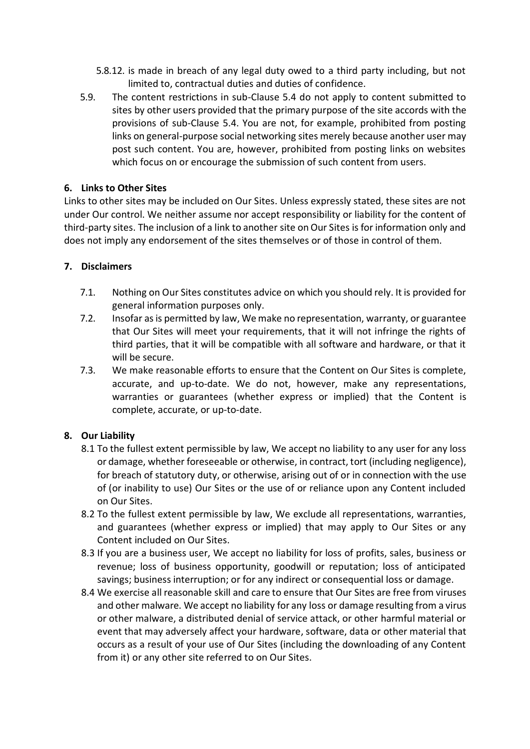- 5.8.12. is made in breach of any legal duty owed to a third party including, but not limited to, contractual duties and duties of confidence.
- 5.9. The content restrictions in sub-Clause 5.4 do not apply to content submitted to sites by other users provided that the primary purpose of the site accords with the provisions of sub-Clause 5.4. You are not, for example, prohibited from posting links on general-purpose social networking sites merely because another user may post such content. You are, however, prohibited from posting links on websites which focus on or encourage the submission of such content from users.

### **6. Links to Other Sites**

Links to other sites may be included on Our Sites. Unless expressly stated, these sites are not under Our control. We neither assume nor accept responsibility or liability for the content of third-party sites. The inclusion of a link to another site on Our Sites is for information only and does not imply any endorsement of the sites themselves or of those in control of them.

#### **7. Disclaimers**

- 7.1. Nothing on Our Sites constitutes advice on which you should rely. It is provided for general information purposes only.
- 7.2. Insofar as is permitted by law, We make no representation, warranty, or guarantee that Our Sites will meet your requirements, that it will not infringe the rights of third parties, that it will be compatible with all software and hardware, or that it will be secure.
- 7.3. We make reasonable efforts to ensure that the Content on Our Sites is complete, accurate, and up-to-date. We do not, however, make any representations, warranties or guarantees (whether express or implied) that the Content is complete, accurate, or up-to-date.

### **8. Our Liability**

- 8.1 To the fullest extent permissible by law, We accept no liability to any user for any loss or damage, whether foreseeable or otherwise, in contract, tort (including negligence), for breach of statutory duty, or otherwise, arising out of or in connection with the use of (or inability to use) Our Sites or the use of or reliance upon any Content included on Our Sites.
- 8.2 To the fullest extent permissible by law, We exclude all representations, warranties, and guarantees (whether express or implied) that may apply to Our Sites or any Content included on Our Sites.
- 8.3 If you are a business user, We accept no liability for loss of profits, sales, business or revenue; loss of business opportunity, goodwill or reputation; loss of anticipated savings; business interruption; or for any indirect or consequential loss or damage.
- 8.4 We exercise all reasonable skill and care to ensure that Our Sites are free from viruses and other malware. We accept no liability for any loss or damage resulting from a virus or other malware, a distributed denial of service attack, or other harmful material or event that may adversely affect your hardware, software, data or other material that occurs as a result of your use of Our Sites (including the downloading of any Content from it) or any other site referred to on Our Sites.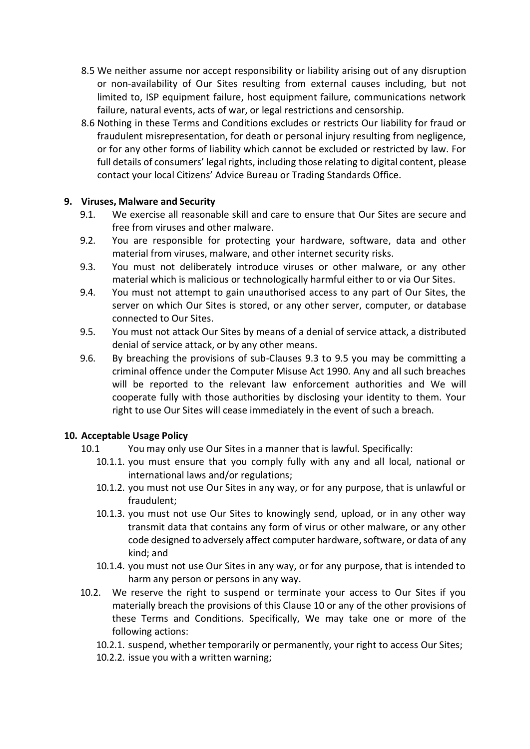- 8.5 We neither assume nor accept responsibility or liability arising out of any disruption or non-availability of Our Sites resulting from external causes including, but not limited to, ISP equipment failure, host equipment failure, communications network failure, natural events, acts of war, or legal restrictions and censorship.
- 8.6 Nothing in these Terms and Conditions excludes or restricts Our liability for fraud or fraudulent misrepresentation, for death or personal injury resulting from negligence, or for any other forms of liability which cannot be excluded or restricted by law. For full details of consumers' legal rights, including those relating to digital content, please contact your local Citizens' Advice Bureau or Trading Standards Office.

### **9. Viruses, Malware and Security**

- 9.1. We exercise all reasonable skill and care to ensure that Our Sites are secure and free from viruses and other malware.
- 9.2. You are responsible for protecting your hardware, software, data and other material from viruses, malware, and other internet security risks.
- 9.3. You must not deliberately introduce viruses or other malware, or any other material which is malicious or technologically harmful either to or via Our Sites.
- 9.4. You must not attempt to gain unauthorised access to any part of Our Sites, the server on which Our Sites is stored, or any other server, computer, or database connected to Our Sites.
- 9.5. You must not attack Our Sites by means of a denial of service attack, a distributed denial of service attack, or by any other means.
- 9.6. By breaching the provisions of sub-Clauses 9.3 to 9.5 you may be committing a criminal offence under the Computer Misuse Act 1990. Any and all such breaches will be reported to the relevant law enforcement authorities and We will cooperate fully with those authorities by disclosing your identity to them. Your right to use Our Sites will cease immediately in the event of such a breach.

### **10. Acceptable Usage Policy**

- 10.1 You may only use Our Sites in a manner that is lawful. Specifically:
	- 10.1.1. you must ensure that you comply fully with any and all local, national or international laws and/or regulations;
	- 10.1.2. you must not use Our Sites in any way, or for any purpose, that is unlawful or fraudulent;
	- 10.1.3. you must not use Our Sites to knowingly send, upload, or in any other way transmit data that contains any form of virus or other malware, or any other code designed to adversely affect computer hardware, software, or data of any kind; and
	- 10.1.4. you must not use Our Sites in any way, or for any purpose, that is intended to harm any person or persons in any way.
- 10.2. We reserve the right to suspend or terminate your access to Our Sites if you materially breach the provisions of this Clause 10 or any of the other provisions of these Terms and Conditions. Specifically, We may take one or more of the following actions:
	- 10.2.1. suspend, whether temporarily or permanently, your right to access Our Sites;
	- 10.2.2. issue you with a written warning;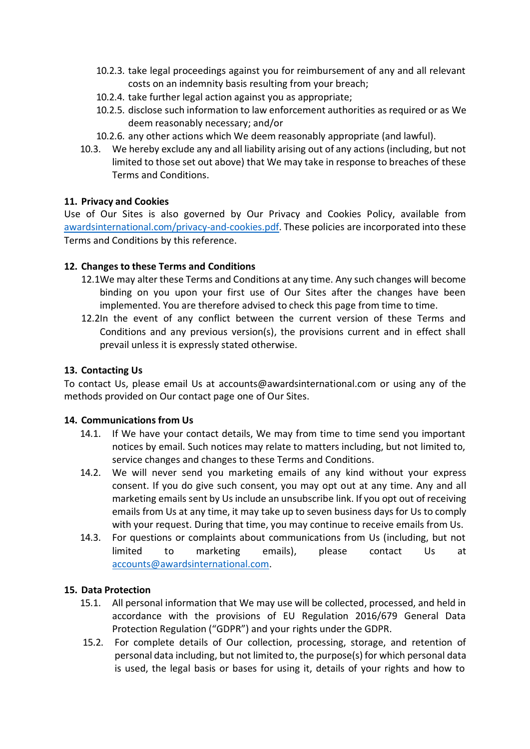- 10.2.3. take legal proceedings against you for reimbursement of any and all relevant costs on an indemnity basis resulting from your breach;
- 10.2.4. take further legal action against you as appropriate;
- 10.2.5. disclose such information to law enforcement authorities as required or as We deem reasonably necessary; and/or
- 10.2.6. any other actions which We deem reasonably appropriate (and lawful).
- 10.3. We hereby exclude any and all liability arising out of any actions (including, but not limited to those set out above) that We may take in response to breaches of these Terms and Conditions.

## **11. Privacy and Cookies**

Use of Our Sites is also governed by Our Privacy and Cookies Policy, available from [awardsinternational.com/privacy-and-cookies.pdf.](http://awardsinternational.com/Privacy-and-Cookies-Policy.pdf) These policies are incorporated into these Terms and Conditions by this reference.

## **12. Changes to these Terms and Conditions**

- 12.1We may alter these Terms and Conditions at any time. Any such changes will become binding on you upon your first use of Our Sites after the changes have been implemented. You are therefore advised to check this page from time to time.
- 12.2In the event of any conflict between the current version of these Terms and Conditions and any previous version(s), the provisions current and in effect shall prevail unless it is expressly stated otherwise.

### **13. Contacting Us**

To contact Us, please email Us at [accounts@awardsinternational.com](mailto:accounts@awardsinternational.com) or using any of the methods provided on Our contact page one of Our Sites.

### **14. Communications from Us**

- 14.1. If We have your contact details, We may from time to time send you important notices by email. Such notices may relate to matters including, but not limited to, service changes and changes to these Terms and Conditions.
- 14.2. We will never send you marketing emails of any kind without your express consent. If you do give such consent, you may opt out at any time. Any and all marketing emails sent by Usinclude an unsubscribe link. If you opt out of receiving emails from Us at any time, it may take up to seven business days for Us to comply with your request. During that time, you may continue to receive emails from Us.
- 14.3. For questions or complaints about communications from Us (including, but not limited to marketing emails), please contact Us at [accounts@awardsinternational.com.](mailto:accounts@awardsinternational.com)

# **15. Data Protection**

- 15.1. All personal information that We may use will be collected, processed, and held in accordance with the provisions of EU Regulation 2016/679 General Data Protection Regulation ("GDPR") and your rights under the GDPR.
- 15.2. For complete details of Our collection, processing, storage, and retention of personal data including, but not limited to, the purpose(s) for which personal data is used, the legal basis or bases for using it, details of your rights and how to